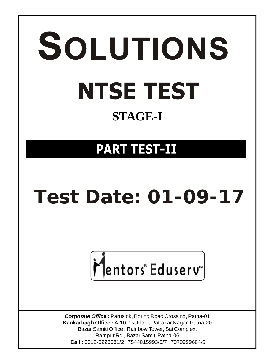# SOLUTIONS **NTSE TEST STAGE-I**

### **PART TEST-II**

## **Test Date: 01-09-17**

## Mentors®Eduserv

*Corporate Office :* Paruslok, Boring Road Crossing, Patna-01 **Kankarbagh Office :** A-10, 1st Floor, Patrakar Nagar, Patna-20 Bazar Samiti Office : Rainbow Tower, Sai Complex, Rampur Rd., Bazar Samiti Patna-06  **Call :** 0612-3223681/2 | 7544015993/6/7 | 7070999604/5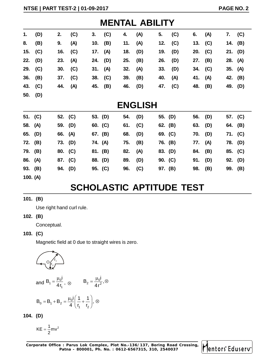|    | <b>MENTAL ABILITY</b> |     |     |         |           |     |     |     |     |           |           |         |     |
|----|-----------------------|-----|-----|---------|-----------|-----|-----|-----|-----|-----------|-----------|---------|-----|
| 1. | (D)                   | 2.  | (C) | 3.      | (C)       | 4.  | (A) | 5.  | (C) | 6.        | (A)       | 7.      | (C) |
| 8. | (B)                   | 9.  | (A) |         | 10. $(B)$ | 11. | (A) | 12. | (C) |           | 13. $(C)$ | 14. (B) |     |
|    | 15. $(C)$             | 16. | (C) | 17. (A) |           | 18. | (D) | 19. | (D) | 20. (C)   |           | 21. (D) |     |
|    | 22. (D)               | 23. | (A) |         | 24. (D)   | 25. | (B) | 26. | (D) | 27.       | (B)       | 28. (A) |     |
|    | 29. (C)               | 30. | (C) | 31. (A) |           | 32. | (A) | 33. | (D) | 34. $(C)$ |           | 35. (A) |     |
|    | $36.$ (B)             | 37. | (C) |         | 38. (C)   | 39. | (B) | 40. | (A) | 41.       | (A)       | 42. (B) |     |
|    | 43. (C)               | 44. | (A) |         | 45. (B)   | 46. | (D) | 47. | (C) | 48.       | (B)       | 49. (D) |     |
|    | 50. (D)               |     |     |         |           |     |     |     |     |           |           |         |     |
|    | <b>ENGLISH</b>        |     |     |         |           |     |     |     |     |           |           |         |     |

| 51. (C)  |                                 |     | 52. (C) |                                                                                             | 53. (D)   | 54. | (D) | 55. (D) |           | 56. | (D) |     | 57. (C) |
|----------|---------------------------------|-----|---------|---------------------------------------------------------------------------------------------|-----------|-----|-----|---------|-----------|-----|-----|-----|---------|
| 58.      | (A)                             |     | 59. (D) |                                                                                             | 60. $(C)$ | 61. | (C) |         | 62. (B)   | 63. | (D) | 64. | (B)     |
| 65.      | (D)                             | 66. | (A)     |                                                                                             | 67. (B)   | 68. | (D) |         | 69. (C)   | 70. | (D) | 71. | (C)     |
| 72.      | (B)                             | 73. | (D)     |                                                                                             | 74. (A)   | 75. | (B) |         | 76. (B)   | 77. | (A) | 78. | (D)     |
| 79. (B)  |                                 |     | 80. (C) |                                                                                             | 81. (B)   | 82. | (A) |         | 83. (D)   | 84. | (B) | 85. | (C)     |
| 86. (A)  |                                 |     | 87. (C) |                                                                                             | 88. (D)   | 89. | (D) |         | 90. $(C)$ | 91. | (D) | 92. | (D)     |
| 93. (B)  |                                 |     | 94. (D) |                                                                                             | 95. (C)   | 96. | (C) |         | 97. (B)   | 98. | (B) |     | 99. (B) |
| 100. (A) |                                 |     |         |                                                                                             |           |     |     |         |           |     |     |     |         |
|          | <b>SCHOLASTIC APTITUDE TEST</b> |     |         |                                                                                             |           |     |     |         |           |     |     |     |         |
|          | 101. $(B)$                      |     |         |                                                                                             |           |     |     |         |           |     |     |     |         |
|          | Use right hand curl rule.       |     |         |                                                                                             |           |     |     |         |           |     |     |     |         |
|          | 102. $(B)$                      |     |         |                                                                                             |           |     |     |         |           |     |     |     |         |
|          | Conceptual.                     |     |         |                                                                                             |           |     |     |         |           |     |     |     |         |
|          | 103. $(C)$                      |     |         |                                                                                             |           |     |     |         |           |     |     |     |         |
|          |                                 |     |         | Magnetic field at 0 due to straight wires is zero.                                          |           |     |     |         |           |     |     |     |         |
|          |                                 |     |         |                                                                                             |           |     |     |         |           |     |     |     |         |
|          |                                 |     |         | and $B_1 = \frac{\mu_0 i}{4r_1}$ , $\otimes$ $B_2 = \frac{\mu_0 i}{4r^2}$ , $\otimes$       |           |     |     |         |           |     |     |     |         |
|          |                                 |     |         | $B_0 = B_1 + B_2 = \frac{\mu_0 i}{4} \left( \frac{1}{r_1} + \frac{1}{r_2} \right), \otimes$ |           |     |     |         |           |     |     |     |         |
|          | 104. (D)                        |     |         |                                                                                             |           |     |     |         |           |     |     |     |         |
|          |                                 |     |         |                                                                                             |           |     |     |         |           |     |     |     |         |

# **SCHOLASTIC APTITUDE TEST SCHOLASTIC APTITUDE**<br> **(B)**<br>
Use right hand curl rule.<br> **(C)**<br>
Magnetic field at 0 due to straight wires is zero.<br>
Magnetic field at 0 due to straight wires is zero.<br>
and  $B_1 = \frac{\mu_0 i}{4r_1}$ ,  $\otimes$   $B_2 = \frac{\mu_0 i}{4r^2}$ , **SCHOLASTIC APTITUDE TEST**<br>
Pright hand curl rule.<br>
Receptual.<br>
SCHOLASTIC APTITUDE TEST<br>
Receptual.<br>
Series is zero.<br>
<br>
Pright and 0 due to straight wires is zero.<br>
<br>
<br>  $\frac{Q_{f_1}^{f_1}}{Q_{f_1}^{f_1}}$ <br>  $B_1 = \frac{\mu_0 i}{4r_1}$ ,

#### **101. (B)**

#### **102. (B)**

#### **103. (C)**

$$
\underbrace{\qquad \qquad }_{\text{out}_{\mathbf{z}}}
$$

Magnetic field at 0 due to straight wires is zero.

\nand B<sub>1</sub> = 
$$
\frac{\mu_0 i}{4 r_1}
$$
,  $\otimes$  B<sub>2</sub> =  $\frac{\mu_0 i}{4 r^2}$ ,  $\otimes$   
\nB<sub>0</sub> = B<sub>1</sub> + B<sub>2</sub> =  $\frac{\mu_0 i}{4} \left( \frac{1}{r_1} + \frac{1}{r_2} \right)$ ,  $\otimes$   
\n(D)\nKE =  $\frac{1}{2}$ mv<sup>2</sup>

Conceptual.  
\n(C)  
\nMagnetic field at 0 due to straight wires is a  
\nand B<sub>1</sub> = 
$$
\frac{\mu_0 i}{4r_1}
$$
,  $\otimes$  B<sub>2</sub> =  $\frac{\mu_0 i}{4r^2}$ ,  $\otimes$   
\nB<sub>0</sub> = B<sub>1</sub> + B<sub>2</sub> =  $\frac{\mu_0 i}{4} \left( \frac{1}{r_1} + \frac{1}{r_2} \right)$ ,  $\otimes$   
\n(D)  
\nKE =  $\frac{1}{2}$ mv<sup>2</sup>  
\norate Office : Parus Lok Complex, Plot No. (2612-

$$
KE = \frac{1}{2}mv^2
$$

Corporate Office : Parus Lok Complex, Plot No.-136/137, Boring Road Crossing, **Mentors Eduserv Patna - 800001, Ph. No. : 0612-6567315, 310, 2540037**

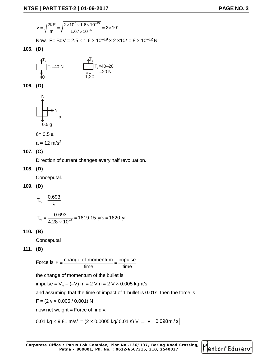**1** PART TEST-2 | 01-09-2017

\n
$$
v = \sqrt{\frac{2KE}{m}} = \sqrt{\frac{2 \times 10^6 \times 1.6 \times 10^{-19}}{1.67 \times 10^{-27}}} = 2 \times 10^7
$$
\nNow, F = BqV = 2.5 × 1.6 × 10<sup>-19</sup> × 2 × 10<sup>7</sup> = 8 × 10<sup>-12</sup> N

\n**(D)**

\n
$$
\frac{\text{A}^T}{T} = \frac{1}{\sqrt{1.5}} = 40 \text{ N}
$$

Now,  $F = BqV = 2.5 \times 1.6 \times 10^{-19} \times 2 \times 10^7 = 8 \times 10^{-12} N$ 

**105. (D)**

$$
\frac{\mathbf{A}^{T_2}}{\mathbf{A}_0} T_2 = 40 \text{ N}
$$
\n
$$
\frac{\mathbf{A}^{T_2}}{\mathbf{A}_0} T_1 = 40 - 20 \text{ N}
$$
\n
$$
\frac{\mathbf{A}^{T_2}}{\mathbf{A}_0} = 20 \text{ N}
$$

**106. (D)**

$$
\begin{array}{c}\nN' \\
\hline\n\uparrow \\
\downarrow \\
0.5 \text{ g}\n\end{array}
$$

$$
6=0.5\;a
$$

$$
a = 12 \text{ m/s}^2
$$

#### **107. (C)**

Direction of current changes every half revoluation.

**108. (D)**

Conceputal.

**109. (D)**

$$
T_{\gamma_2} = \frac{0.693}{\lambda}
$$

N  
\nA  
\na  
\n0.5 g  
\n6= 0.5 a  
\na = 12 m/s<sup>2</sup>  
\n(C)  
\nDirection of current changes every half revolution.  
\n(D)  
\nConceptal.  
\n(D)  
\n
$$
T_x = \frac{0.693}{\lambda}
$$
  
\n $T_x = \frac{0.693}{4.28 \times 10^{-4}} = 1619.15$  yrs = 1620 yr  
\n(B)  
\nConceptal  
\n(B)

**110. (B)**

**Conceputal** 

#### **111. (B)**

20-0.3 d

\na = 12 m/s<sup>2</sup>

\n(C)

\nDirection of current changes every half revolution.

\n(D)

\nConceptal.

\n(D)

\n
$$
T_{\frac{v}{2}} = \frac{0.693}{\lambda}
$$

\n
$$
T_{\frac{v}{2}} = \frac{0.693}{4.28 \times 10^{-4}} = 1619.15 \text{ yrs} = 1620 \text{ yr}
$$
\n(B)

\nConceptal

\n(C)

\nConceptal

\n(D)

\nForce is  $F = \frac{\text{change of momentum}}{\text{time}} = \frac{\text{impulse}}{\text{time}}$ 

\nthe change of momentum of the bullet is

\nimpulse =  $V_m - (-V) \, \text{m} = 2 \, \text{V/m} = 2 \, \text{V} \times 0.005 \, \text{kgm/s}$ 

\nEquation (20.11)

\nEquation (20.12)

\nEquation (20.13)

\nEquation (20.14)

\nEquation (20.15)

\nEquation (20.16)

\nEquation (20.17)

\nEquation (20.19)

\nEquation (20.10)

\nEquation (20.11)

\nEquation (20.12)

\nEquation (20.13)

\nEquation (20.14)

\nEquation (20.15)

\nEquation (20.16)

\nEquation (20.17)

\nEquation (20.19)

\nEquation (20.11)

\nEquation (20.12)

\nEquation (20.13)

\nEquation (20.14)

\nEquation (20.15)

\nEquation (20.16)

\nEquation (20.17)

\nEquation (20.19)

\nEquation (20.11)

\nEquation (20.12)

\nEquation (20.13)

\nEquation (20.14)

\nEquation (20.15)

\nEquation (2

the change of momentum of the bullet is

impulse = V $_{\sf m}$  – (–V) m = 2 Vm = 2 V  $\times$  0.005 kgm/s

anges every half revoluation.<br>
19.15 yrs = 1620 yr<br>
time  $\frac{1}{\text{time}} = \frac{\text{impulse}}{\text{time}}$ <br>
tum of the bullet is<br>  $t = 2 \text{ Vm} = 2 \text{ V} \times 0.005 \text{ kgm/s}$ <br>
time of impact of 1 bullet is 0.01s, then the force is<br>
1) N and assuming that the time of impact of 1 bullet is 0.01s, then the force is

 $F = (2 \vee \times 0.005 / 0.001) N$ 

now net weight  $=$  Force of find  $v$ :

0.01 kg  $\times$  9.81 m/s<sup>2</sup> = (2  $\times$  0.0005 kg/ 0.01 s) V  $\Rightarrow$   $\boxed{v = 0.098 \text{ m/s}}$ 

Corporate Office : Parus Lok Complex, Plot No.-136/137, Boring Road Crossing, **Continued By Part Constitution A Patna - 800001, Ph. No. : 0612-6567315, 310, 2540037** 1619.15 yrs = 1620 yr<br>  $\frac{1}{2}$  of momentum =  $\frac{1}{2}$  impulse<br>  $\frac{1}{2}$  immediating the bullet is<br>  $m = 2 \text{ Vm} = 2 \text{ V} \times 0.005 \text{ kg/m/s}$ <br>
the time of impact of 1 bullet is 0.01s, then the force is<br>  $2001 \text{ N}$ <br>  $= (2 \times 0$ 



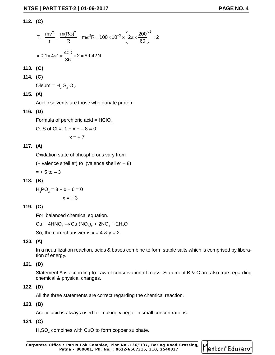#### **112. (C)**

$$
F = \frac{PART TEST - 2 | 01 - 09 - 2017}{r} = \frac{m(V^{2})^{2}}{R} = m\omega^{2}R = 100 \times 10^{-3} \times \left(2\pi \times \frac{200}{60}\right)^{2} \times 2
$$
  
= 0.1 × 4 $\pi^{2}$  ×  $\frac{400}{36}$  × 2 = 89.42 N  
(C)  
(C)  
(D)  
(D)  
(E)  
20180 = H<sub>2</sub> S<sub>2</sub> O<sub>7</sub>.

$$
= 0.1 \times 4\pi^2 \times \frac{400}{36} \times 2 = 89.42 \text{N}
$$

**113. (C)**

**114. (C)**

Oleum =  $H_2 S_2 O_7$ .

**115. (A)**

Acidic solvents are those who donate proton.

#### **116. (D)**

Formula of perchloric acid =  $HClO<sub>4</sub>$ 

O. S of Cl =  $1 + x + -8 = 0$ 

$$
x = +7
$$

#### **117. (A)**

Oxidation state of phosphorous vary from

(+ valence shell  $e^-$ ) to (valence shell  $e^- - 8$ )

 $= + 5$  to  $- 3$ 

#### **118. (B)**

 $H_3PO_3 = 3 + x - 6 = 0$  $x = +3$ 

#### **119. (C)**

For balanced chemical equation.

Cu + 4HNO $_3$   $\rightarrow$  Cu (NO $_3$ ) $_2$  + 2NO $_2$  + 2H $_2$ O

So, the correct answer is  $x = 4$  &  $y = 2$ .

#### **120. (A)**

In a neutrilization reaction, acids & bases combine to form stable salts which is comprised by liberation of energy.

#### **121. (D)**

Statement A is according to Law of conservation of mass. Statement B & C are also true regarding chemical & physical changes.

#### **122. (D)**

All the three statements are correct regarding the chemical reaction.

#### **123. (B)**

Acetic acid is always used for making vinegar in small concentrations.

#### **124. (C)**

 $\mathsf{H}_2$ SO $_4$  combines with CuO to form copper sulphate.

Corporate Office : Parus Lok Complex, Plot No.-136/137, Boring Road Crossing, **Mentors Eduserv Patna - 800001, Ph. No. : 0612-6567315, 310, 2540037**

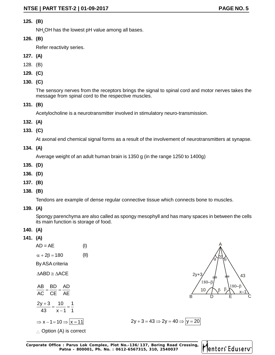#### **125. (B)**

NH<sub>4</sub>OH has the lowest pH value among all bases.

#### **126. (B)**

Refer reactivity series.

- **127. (A)**
- 128. (B)
- **129. (C)**
- **130. (C)**

The sensory nerves from the receptors brings the signal to spinal cord and motor nerves takes the message from spinal cord to the respective muscles.

**131. (B)**

Acetylocholine is a neurotransmitter involved in stimulatory neuro-transmission.

- **132. (A)**
- **133. (C)**

**134. (A)**

- **135. (D)**
- **136. (D)**
- **137. (B)**
- **138. (B)**

**139. (A)**

- **140. (A)**
- **141. (A)**

| (C)                                                                                                                                                 |
|-----------------------------------------------------------------------------------------------------------------------------------------------------|
| At axonal end chemical signal forms as a result of the involvement of neurotransmitters at synapse.                                                 |
| (A)                                                                                                                                                 |
| Average weight of an adult human brain is 1350 g (in the range 1250 to 1400g)                                                                       |
| (D)                                                                                                                                                 |
| (D)                                                                                                                                                 |
| (B)                                                                                                                                                 |
| (B)                                                                                                                                                 |
| Tendons are example of dense regular connective tissue which connects bone to muscles.                                                              |
| (A)                                                                                                                                                 |
| Spongy parenchyma are also called as spongy mesophyll and has many spaces in between the cells<br>its main function is storage of food.             |
| (A)                                                                                                                                                 |
| (A)                                                                                                                                                 |
| $AD = AE$<br>(1)                                                                                                                                    |
| (II)<br>$\alpha + 2\beta = 180$                                                                                                                     |
| By ASA criteria                                                                                                                                     |
| $\Delta ABD \cong \Delta ACE$<br>$2y+3$<br>43                                                                                                       |
| 180-<br>$180 - \beta$                                                                                                                               |
| $\frac{AB}{AC} = \frac{BD}{CE} = \frac{AD}{AE}$<br>10<br>B                                                                                          |
| $\frac{2y+3}{43} = \frac{10}{x-1} = \frac{1}{1}$                                                                                                    |
| $2y + 3 = 43 \Rightarrow 2y = 40 \Rightarrow  y = 20$<br>$\Rightarrow$ x - 1 = 10 $\Rightarrow$ $\vert$ x = 11                                      |
| $\therefore$ Option (A) is correct                                                                                                                  |
|                                                                                                                                                     |
| oorate Office: Parus Lok Complex, Plot No.-136/137, Boring Road Crossing,<br>Mentors Eduserv<br>Patna - 800001, Ph. No.: 0612-6567315, 310, 2540037 |



$$
+3 = 43 \Rightarrow 2y = 40 \Rightarrow y = 20
$$

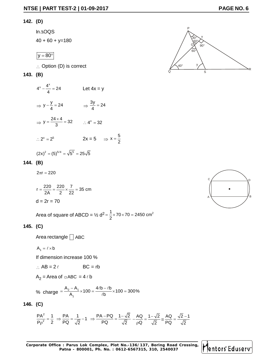#### **142. (D)**

In AOQS

 $40 + 60 + y = 180$ 

$$
y=80^\circ
$$

 $\therefore$  Option (D) is correct

#### **143. (B)**

 $x^2 + 4^x = 24$ **E | PART TEST-2 | 01-09-2017**<br>
(D)<br>
In ∆OQS<br>
40 + 60 + y=180<br>  $y = 80^\circ$ <br>
∴ Option (D) is correct<br>
(B)<br>
4<sup>x</sup> -  $\frac{4^x}{4} = 24$  Let 4x = y<br>
⇒ y -  $\frac{y}{4} = 24$  ⇒  $\frac{3y}{4} = 24$ <br>
⇒ y =  $\frac{24 \times 4}{3} = 32$  ∴ 4<sup>x</sup> = 32  $\frac{1}{4}$  and  $\frac{1}{4}$ **PART TEST-2 | 01-09-2017**<br>
(NOQS<br>
+ 60 + y=180<br>
= 80°<br>
Option (D) is correct<br>
<br>
<br>
y -  $\frac{4^x}{4} = 24$  Let 4x = y<br>
<br>  $y - \frac{y}{4} = 24$   $\Rightarrow \frac{3y}{4} = 24$  $\Rightarrow$  y  $-\frac{y}{4} = 24$   $\Rightarrow \frac{3y}{4} = 24$ **PART TEST-2 | 01-09-2017**<br>
0QS<br>
+ 60 + y=180<br>
<br>
<br>
Dption (D) is correct<br>  $-\frac{4^{x}}{4} = 24$  Let 4x = y<br>  $y - \frac{y}{4} = 24$   $\Rightarrow \frac{3y}{4} = 24$ <br>  $y = \frac{24 \times 4}{3} = 32$   $\therefore 4^{x} = 32$ <br>  $x = 2^{5}$   $2x = 5$   $\Rightarrow x = \frac{5}{2}$  $\frac{y}{4} = 24$   $\Rightarrow \frac{3y}{4} = 24$ ART TEST-2 | 01-09-2017<br>
DQS<br>
60 + y=180<br>  $\frac{30^{\circ}}{10^{10}}$ <br>  $\frac{30^{\circ}}{10^{10}}$ <br>  $\frac{4^x}{4} = 24$ <br>
Let 4x = y<br>  $-\frac{y}{4} = 24$ <br>  $\Rightarrow \frac{3y}{4} = 24$ <br>  $\Rightarrow \frac{3y}{4} = 24$ <br>  $\Rightarrow 4^x = 32$ <br>  $\therefore 4^x = 32$  $= 24$  $\Rightarrow$  y =  $\frac{ }{3}$  = 32  $\therefore$  4<sup>x</sup> = 32 00 <br>  $+ 60 + y=180$ <br>  $\overline{80^\circ}$ <br>
Dption (D) is correct<br>  $-\frac{4^x}{4} = 24$  Let  $4x = y$ <br>  $y - \frac{y}{4} = 24$   $\Rightarrow \frac{3y}{4} = 24$ <br>  $y = \frac{24 \times 4}{3} = 32$   $\therefore 4^x = 32$ <br>  $x = 2^5$   $2x = 5 \Rightarrow x = \frac{5}{2}$ <br>  $y^2 = (5)^{5/4} = \sqrt{5^5} = 25\sqrt{5}$  $\times$  4 22  $\times$  22  $\times$ **ART TEST-2 | 01-09-2017**<br> **PAGE M**<br>
60 + y=180<br>
<br>
30°<br>
x (x)<br>
x (x)<br>
x (x)<br>
x (x)<br>
x (x)<br>
x (x)<br>
x (x)<br>
x (x)<br>
x (x)<br>
x (x)<br>
x (x)<br>
x (x)<br>
x (x)<br>
x (x)<br>
x (x)<br>
x (x)<br>
x (x)<br>
x (x)<br>
x (x)<br>
x (x)<br>
x (x)<br>
x (x)<br>
x (x)<br>
x<br>
x 1 AOQS<br>
A0 + 60 + y=180<br>
(y=80°)<br>
∴ Option (D) is correct<br>
(B)<br>
4' -  $\frac{4^x}{4} = 24$  Let  $4x = y$ <br>
⇒  $y - \frac{y}{4} = 24$   $\Rightarrow \frac{3y}{4} = 24$ <br>
⇒  $y = \frac{24 \times 4}{3} = 32$  ∴  $4^x = 32$ <br>
∴  $2^x = 2^5$   $2x = 5$   $\Rightarrow x = \frac{5}{2}$ <br>
(2x)<sup>2</sup> = (5)<sup>5</sup>  $5<sub>5</sub>$ ∴  $2^x = 2^5$  2x = 5 ⇒ x =  $\frac{5}{2}$ 2 and 2 and 2 and 2 and 2 and 2 and 2 and 2 and 2 and 2 and 2 and 2 and 2 and 2 and 2 and 2 and 2 and 2 and 2  $=\frac{6}{5}$ 40 + 60 + y=180<br>  $\frac{y = 80^\circ}{2}$ <br>  $\therefore$  Option (D) is correct<br>
(B)<br>
4<sup>x</sup> -  $\frac{4^x}{4} = 24$ <br>
Let 4x = y<br>  $\Rightarrow y - \frac{y}{4} = 24$ <br>
Let 4x = y<br>  $\Rightarrow y - \frac{y}{4} = 24$ <br>  $\Rightarrow y = \frac{24 \times 4}{3} = 32$ <br>  $\therefore 4^x = 32$ <br>  $\therefore 2^x = 2^5$ <br>  $2 \times 5 = 5$ <br> 2. Option (D) is correct<br>
(B)<br>
4<sup>x</sup> -  $\frac{4^x}{4} = 24$  Let 4x = y<br>
⇒  $y - \frac{y}{4} = 24$  Let 4x = y<br>
⇒  $y = \frac{24 \times 4}{3} = 32$  ∴ 4<sup>x</sup> = 32<br>
∴ 2<sup>x</sup> = 2<sup>6</sup> 2x = 5 ⇒ x =  $\frac{5}{2}$ <br>  $(2x)^2 = (5)^{5/4} = \sqrt{5^5} = 25\sqrt{5}$ <br>
(B)<br>  $2\pi r = 220$  $4^{x} - \frac{4^{x}}{4} = 24$  Let 4x = y<br>
⇒  $y - \frac{y}{4} = 24$  ⇒  $\frac{3y}{4} = 24$ <br>
⇒  $y = \frac{24 \times 4}{3} = 32$  ∴  $4^{x} = 32$ <br>
∴  $2^{x} = 2^{5}$  2x = 5 ⇒  $x = \frac{5}{2}$ <br>  $(2x)^{2} = (5)^{5/4} = \sqrt{5^{5}} = 25\sqrt{5}$ <br>
(B)<br>
2x = 5 ⇒  $x = \frac{5}{2}$ <br>
(D)<br>
2x = 22  $\frac{4}{4} = 24$  Let 4x = y<br>  $y - \frac{y}{4} = 24$   $\Rightarrow \frac{3y}{4} = 24$ <br>  $y = \frac{24 \times 4}{3} = 32$   $\therefore 4^{x} = 32$ <br>  $y = 2^{5}$   $2x = 5$   $\Rightarrow x = \frac{5}{2}$ <br>  $z = (5)^{5/4} = \sqrt{5^{5}} = 25\sqrt{5}$ <br>  $z = 220$ <br>  $\frac{220}{2A} = \frac{220}{2} \times \frac{7}{22} = 35$  cm<br>  $2r = 70$ <br> 3)<br>  $x - \frac{4^x}{4} = 24$ <br>  $\Rightarrow y - \frac{y}{4} = 24$ <br>  $\Rightarrow \frac{3y}{4} = 24$ <br>  $\Rightarrow y = \frac{24 \times 4}{3} = 32$ <br>  $\therefore 4^x = 32$ <br>  $2^x = 2^6$ <br>  $2x = 5 \Rightarrow x = \frac{5}{2}$ <br>  $\Rightarrow x^2 = \frac{5}{2}$ <br>  $\Rightarrow x^2 = \frac{20}{2} \Rightarrow x^2 = 25\sqrt{5}$ <br>
3)<br>  $\Rightarrow \pi r = 220$ <br>  $\Rightarrow \frac{220}{2A} = \frac{220}{2}$ 4 4 4<br>
⇒  $y = \frac{24 \times 4}{3} = 32$  ∴  $4^x = 32$ <br>
∴  $2^x = 2^0$  2x = 5 ⇒  $x - \frac{5}{2}$ <br>
(2x)<sup>2</sup> = (5)<sup>6/4</sup> =  $\sqrt{5^2} = 25\sqrt{5}$ <br>
(B)<br>
2x = 220<br>  $r = \frac{220}{24} = \frac{220}{2} \times \frac{7}{22} = 35$  cm<br>  $d = 2r = 70$ <br>
Area of square of ABCD = 1⁄2 :.  $2^{x} = 2^{5}$  <br>  $2x = 5$   $\Rightarrow x = \frac{5}{2}$ <br>  $(2x)^{2} = (5)^{5/4} = \sqrt{5^{5}} = 25\sqrt{5}$ <br> **(B)**<br>  $x = 220$ <br>  $x = \frac{220}{2A} = \frac{220}{2} \times \frac{7}{22} = 35 \text{ cm}$ <br>  $d = 2r = 70$ <br>
Area of square of ABCD = 1/2  $d^{2} = \frac{1}{2} \times 70 \times 70 = 2450 \text{ cm}^{2}$ 

#### **144. (B)**

$$
r = \frac{220}{2A} = \frac{220}{2} \times \frac{7}{22} = 35 \text{ cr}
$$
  
d = 2r = 70

Area of square of ABCD =  $\frac{1}{2}$  d<sup>2</sup> =  $\frac{1}{2}$  × 70 × 70 = 2450 cm<sup>2</sup>

#### **145. (C)**

Area rectangle  $\Box$  ABC

$$
A_1 = \ell \times b
$$

If dimension increase 100 %

$$
\therefore AB = 2 \ell \qquad BC = rb
$$

$$
A_2 = \text{Area of } \Box \text{ABC} = 4 \ell \text{ b}
$$

(C)  
\nArea rectangle ∐ ABC  
\nA<sub>1</sub> = l × b  
\nIf dimension increase 100 %  
\n∴ AB = 2 l BC = rb  
\nA<sub>2</sub> = Area of ∎ABC = 4 l b  
\n% charge = 
$$
\frac{A_2 - A_1}{A_1} \times 100 = \frac{4(lb - l b)}{l b} \times 100 = 300\%
$$
\n(C)

**146. (C)**

$$
r = \frac{220}{2A} = \frac{220}{2} \times \frac{7}{22} = 35 \text{ cm}
$$
  
\nd = 2r = 70  
\nArea of square of ABCD =  $\frac{1}{2}$  d<sup>2</sup> =  $\frac{1}{2}$  × 70 × 70 = 2450 cm<sup>2</sup>  
\n(C)  
\nArea rectangle  $\Box$  ABC  
\nA<sub>1</sub> = l × b  
\nIf dimension increase 100 %  
\n $\therefore AB = 2 l$  BC = rb  
\nA<sub>2</sub> = Area of  $\Box ABC = 4 l$  b  
\n% charge =  $\frac{A_2 - A_1}{A_1} \times 100 = \frac{4lb - lb}{l} \times 100 = 300\%$   
\n(C)  
\n $\frac{PA^2}{Pp^2} = \frac{1}{2} \Rightarrow \frac{PA}{PQ} = \frac{1}{\sqrt{2}} - 1 \Rightarrow \frac{PA - PQ}{PQ} = \frac{1 - \sqrt{2}}{\sqrt{2}} - \frac{AQ}{pQ} = \frac{1 - \sqrt{2}}{\sqrt{2}} = \frac{AQ}{PQ} = \frac{\sqrt{2} - 1}{\sqrt{2}}$   
\nFor a total of the *Q* is the same value of the *Q* is the *Q* is the *Q* is the *Q* is the *Q* is the *Q* is the *Q* is the *Q* is the *Q* is the *Q* is the *Q* is the *Q* is the *Q* is the *Q* is the *Q* is the *Q* is the *Q* is the *Q* is the *Q* is the *Q* is the *Q* is the *Q* is the *Q* is the *Q* is the *Q* is the *Q* is the *Q* is the *Q* is the *Q* is the *Q* is the *Q* is the *Q* is the *Q* is the *Q* is the *Q* is the *Q* is the *Q* is the *Q*

**Corporate Office : Parus Lok Complex, Plot No.-136/137, Boring Road Crossing, Patna - 800001, Ph. No. : 0612-6567315, 310, 2540037**



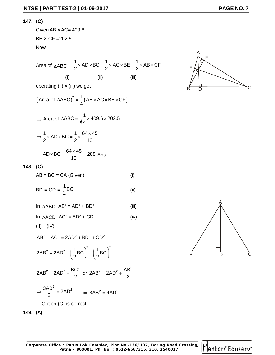#### **147. (C)**

Given  $AB \times AC = 409.6$ BE × CF =202.5 Now

E | PART TEST-2 | 01-09-2017  
\n(C)  
\nGiven AB x AC= 409.6  
\nBE x CF =202.5  
\nNow  
\nArea of 
$$
\triangle ABC = \frac{1}{2} \times AD \times BC = \frac{1}{2} \times AC \times BE = \frac{1}{2} \times AB \times CF
$$
  
\n(i) (ii) (iii)  
\noperating (ii) x (iii) we get  
\n(Area of  $\triangle ABC$ )<sup>2</sup> =  $\frac{1}{4}$ (AB x AC x BE x CF)

operating (ii)  $\times$  (iii) we get

E [PART TEST-2 [01-09-2017  
\n(C)  
\nG)   
\nBEx CF = 202.5  
\nNow  
\nArea of 
$$
\triangle ABC = \frac{1}{2} \times AD \times BC = \frac{1}{2} \times AC \times BE = \frac{1}{2} \times AB \times CF
$$
  
\n(i) (ii) (iii)  
\noperating (ii) x (iii) we get  
\n(Area of  $\triangle ABC$ )<sup>2</sup> =  $\frac{1}{4}$  (AB x AC x BE x CF)  
\n $\Rightarrow$  Area of  $\triangle ABC = \sqrt{\frac{1}{4} \times 409.6 \times 202.5}$   
\n $\Rightarrow \frac{1}{2} \times AD \times BC = \frac{1}{2} \times \frac{64 \times 45}{10}$   
\n $\Rightarrow AD \times BC = \frac{64 \times 45}{10} = 288$  Ans.  
\n(C)  
\nAB = BC = CA (Given)  
\n10 AABD, AB<sup>2</sup> = AD<sup>2</sup> + BD<sup>2</sup>  
\n11 AABD, AB<sup>2</sup> = AD<sup>2</sup> + BD<sup>2</sup>  
\n12 ABCD, AC<sup>2</sup> = AD<sup>2</sup> + CD<sup>2</sup>  
\n(AIB<sup>2</sup> + AC<sup>2</sup> = 2AD<sup>2</sup> + BD<sup>2</sup>  
\n $\Rightarrow$  2AB<sup>2</sup> = 2AD<sup>2</sup> +  $\frac{1}{2}$ BC<sup>2</sup> $\left(\frac{1}{2} BC\right)^2 + \left(\frac{1}{2} BC\right)^2$   
\n $\Rightarrow \frac{3AB^2}{2} = 2AD^2 - \frac{2AB^2}{2} = 2AD^2 - \frac{2AB^2}{2} = 4AD^2$ 

#### **148. (C)**

$$
AB = BC = CA (Given)
$$
 (i)

$$
BD = CD = \frac{1}{2}BC
$$
 (ii)

In 
$$
\triangle ABD
$$
,  $AB^2 = AD^2 + BD^2$  (iii)

In 
$$
\triangle ACD
$$
,  $AC^2 = AD^2 + CD^2$  (iv)

$$
(II) + (IV)
$$

$$
AB2 + AC2 = 2AD2 + BD2 + CD2
$$

47.18 x B0 = BC = CA (Given)  
\n
$$
BD = CD = \frac{1}{2}BC
$$
\n(ii)  
\n
$$
AD = CD = \frac{1}{2}BC
$$
\n(iii)  
\n
$$
AD = AD = AD^2 + BD^2
$$
\n(ii)  
\n
$$
AD = ACD, AC^2 = AD^2 + BD^2
$$
\n(iiii)  
\n
$$
AD = AC^2 = AD^2 + CD^2
$$
\n(iv)  
\n
$$
AB^2 + AC^2 = 2AD^2 + BD^2 + CD^2
$$
\n
$$
2AB^2 = 2AD^2 + \left(\frac{1}{2}BC\right)^2 + \left(\frac{1}{2}BC\right)^2
$$
\n
$$
2AB^2 = 2AD^2 + \frac{BC^2}{2} \text{ or } 2AB^2 = 2AD^2 + \frac{AB^2}{2}
$$
\n
$$
⇒ \frac{3AB^2}{2} = 2AD^2 \Rightarrow 3AB^2 = 4AD^2
$$
\n
$$
∴ Option (C) is correct
$$

$$
2AB2 = 2AD2 + \frac{BC2}{2} \text{ or } 2AB2 = 2AD2 + \frac{AB2}{2}
$$

$$
\Rightarrow \frac{3AB^2}{2} = 2AD^2 \qquad \Rightarrow 3AB^2 = 4AD^2
$$

 $\therefore$  Option (C) is correct







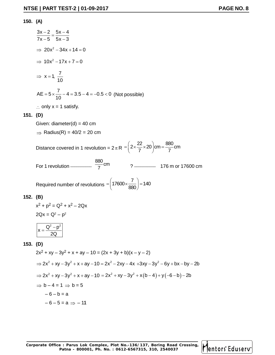#### **150. (A)**

**NTSE | PART TEST-2 | 01-09-2017 PAGE NO. 8**  
\n36. (A)  
\n
$$
\frac{3x-2}{7x-5} = \frac{5x-4}{5x-3}
$$
\n⇒ 20x<sup>2</sup> - 34x + 14 = 0  
\n⇒ 10x<sup>2</sup> - 17x + 7 = 0  
\n⇒ x = 1,  $\frac{7}{10}$   
\nAE = 5 ×  $\frac{7}{10}$  - 4 = 3.5 - 4 = -0.5 < 0 (Not possible)  
\n∴ only x = 1 satisfy.  
\n151. (D)  
\nGiven: diameter|(d) = 40 cm  
\n⇒ Radius(R) = 40/2 = 20 cm  
\nDistance covered in 1 revolution = 2π R =  $\left(2 \times \frac{22}{7} \times 20\right)$ cm =  $\frac{880}{7}$  cm  
\nFor 1 revolution  
\nRequired number of revolutions =  $\left(17600 \times \frac{7}{880}\right)$  = 140  
\n152. (B)  
\n $x^2 + p^2 = Q^2 + x^2 - 2Qx$   
\n $2Qx = Q^2 - p^2$   
\n $\left(x = \frac{Q^2 - p^2}{2Q}\right)$   
\n153. (D)  
\n $2x^2 + xy - 3y^2 + x + ay - 10 = (2x + 3y + b)(x - y - 2)$   
\n⇒  $2x^2 + xy - 3y^2 + x + ay - 10 = 2x^2 - 2xy - 4x + 3xy - 3y^2 - 6y + bx - by - 2b$   
\n⇒  $2x^2 + xy - 3y^2 + x + ay - 10 = 2x^2 - 2xy - 4x + 3xy - 3y^2 - 6y + bx - by - 2b$   
\n⇒  $b - 4 = 1$  ⇒  $b = 5$   
\n $-6 - b = a$   
\n $-6 - 5 = a$  ⇒ - 11

 $-6 - b = a$ 

 $-6 - 5 = a \Rightarrow -11$ 

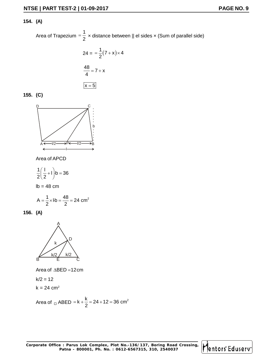#### **154. (A)**

Area of Trapezium =  $\frac{1}{2}$  x distand 1  $\overline{1}$   $\overline{1}$   $\overline{1}$   $\overline{2}$   $\overline{1}$   $\overline{2}$   $\overline{3}$   $\overline{1}$   $\overline{2}$   $\overline{3}$   $\overline{1}$   $\overline{2}$   $\overline{3}$   $\overline{3}$   $\overline{4}$   $\overline{2}$   $\overline{3}$   $\overline{2}$   $\overline{3}$   $\overline{3}$   $\overline{4}$   $\overline{2}$   $\overline{3}$   $\overline{3}$   $\over$  $=\frac{1}{2}$  × distance between || el sides × (Sum of parallel side) 17<br>
ace between || el sides × (Sum of parallel side)<br>
7 + x) × 4<br>
. **PAGE NO. 9**<br>
istance between || el sides x (Sum of parallel side)<br>  $=\frac{1}{2}(7+x)\times 4$ <br>  $7+x$ 

01-09-2017  
\n**PAGE NO. 9**  
\n
$$
\frac{1}{2} \times \text{distance between || el sides} \times \text{(Sum of parallel side)}
$$
\n
$$
24 = \frac{1}{2}(7 + x) \times 4
$$
\n
$$
\frac{48}{4} = 7 + x
$$
\n
$$
\boxed{x = 5}
$$

$$
155. (C)
$$



Area of APCD

$$
\frac{1}{2}\left(\frac{1}{2}+1\right)b=36
$$

 $lb = 48$  cm

$$
A = \frac{1}{2} \times I \cdot b = \frac{48}{2} = 24 \text{ cm}^2
$$

**156. (A)**



 $k/2 = 12$ 

 $k = 24$  cm<sup>2</sup>

Area of ABED <sup>k</sup> <sup>2</sup> k 24 12 36 cm 2 

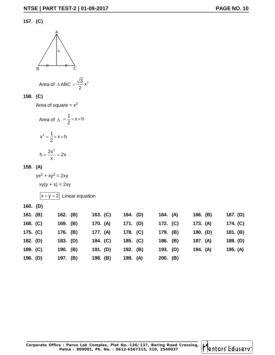#### **157. (C)**



Area of 
$$
\triangle ABC = \frac{\sqrt{3}}{2}x^2
$$

#### **158. (C)**

$$
h = \frac{2x^2}{x} = 2
$$

#### **159. (A)**

|            | в                                                |          |                                                 |          |          |          |          |          |          |
|------------|--------------------------------------------------|----------|-------------------------------------------------|----------|----------|----------|----------|----------|----------|
|            |                                                  |          | Area of $\triangle ABC = \frac{\sqrt{3}}{2}x^2$ |          |          |          |          |          |          |
| 158. (C)   |                                                  |          |                                                 |          |          |          |          |          |          |
|            | Area of square = $x^2$                           |          |                                                 |          |          |          |          |          |          |
|            | Area of $\Delta = \frac{1}{2} \times x \times h$ |          |                                                 |          |          |          |          |          |          |
|            | $x^2 = \frac{1}{2} \times x \times h$            |          |                                                 |          |          |          |          |          |          |
|            | $h = \frac{2x^2}{r} = 2x$                        |          |                                                 |          |          |          |          |          |          |
| 159. (A)   |                                                  |          |                                                 |          |          |          |          |          |          |
|            | $yx^2 + xy^2 = 2xy$                              |          |                                                 |          |          |          |          |          |          |
|            | $xy(y + x) = 2xy$                                |          |                                                 |          |          |          |          |          |          |
|            |                                                  |          | $\overline{ x+y=2 }$ Linear equation            |          |          |          |          |          |          |
| 160. (D)   |                                                  |          |                                                 |          |          |          |          |          |          |
| 161. $(B)$ |                                                  | 162. (B) |                                                 | 163. (C) | 164. (D) |          | 164. (A) | 166. (B) | 167. (D) |
| 168. $(C)$ |                                                  | 169. (B) |                                                 | 170. (A) | 171. (D) | 172. (C) |          | 173. (A) | 174. (C) |
| 175. (C)   |                                                  | 176. (B) |                                                 | 177. (A) | 178. (C) | 179. (B) |          | 180. (D) | 181. (B) |
| 182. (D)   |                                                  | 183. (D) |                                                 | 184. (C) | 185. (C) | 186. (B) |          | 187. (A) | 188. (D) |
| 189. $(C)$ |                                                  | 190. (B) |                                                 | 191. (D) | 192. (B) | 193. (D) |          | 194. (A) | 195. (A) |
| 196. (D)   |                                                  | 197. (B) |                                                 | 198. (B) | 199. (A) | 200. (B) |          |          |          |